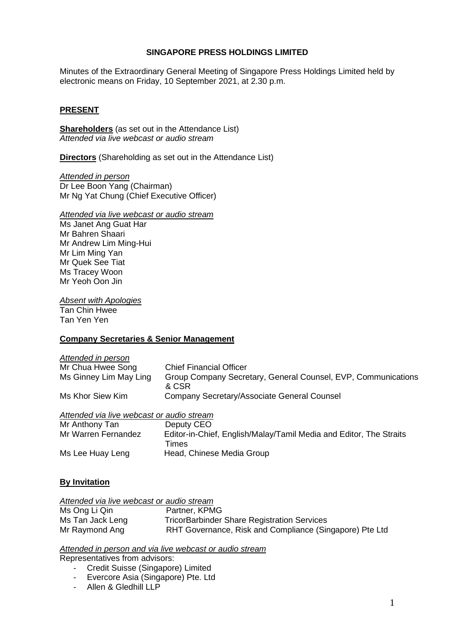#### **SINGAPORE PRESS HOLDINGS LIMITED**

Minutes of the Extraordinary General Meeting of Singapore Press Holdings Limited held by electronic means on Friday, 10 September 2021, at 2.30 p.m.

## **PRESENT**

**Shareholders** (as set out in the Attendance List) *Attended via live webcast or audio stream*

**Directors** (Shareholding as set out in the Attendance List)

*Attended in person* Dr Lee Boon Yang (Chairman) Mr Ng Yat Chung (Chief Executive Officer)

#### *Attended via live webcast or audio stream*

Ms Janet Ang Guat Har Mr Bahren Shaari Mr Andrew Lim Ming-Hui Mr Lim Ming Yan Mr Quek See Tiat Ms Tracey Woon Mr Yeoh Oon Jin

*Absent with Apologies*

Tan Chin Hwee Tan Yen Yen

#### **Company Secretaries & Senior Management**

| Attended in person     |                                                                        |
|------------------------|------------------------------------------------------------------------|
| Mr Chua Hwee Song      | <b>Chief Financial Officer</b>                                         |
| Ms Ginney Lim May Ling | Group Company Secretary, General Counsel, EVP, Communications<br>& CSR |
| Ms Khor Siew Kim       | Company Secretary/Associate General Counsel                            |
|                        |                                                                        |

#### *Attended via live webcast or audio stream*

| Mr Anthony Tan      | Deputy CEO                                                         |
|---------------------|--------------------------------------------------------------------|
| Mr Warren Fernandez | Editor-in-Chief, English/Malay/Tamil Media and Editor, The Straits |
|                     | Times                                                              |
| Ms Lee Huay Leng    | Head, Chinese Media Group                                          |

#### **By Invitation**

| Attended via live webcast or audio stream |                                                         |  |  |
|-------------------------------------------|---------------------------------------------------------|--|--|
| Ms Ong Li Qin                             | Partner, KPMG                                           |  |  |
| Ms Tan Jack Leng                          | <b>TricorBarbinder Share Registration Services</b>      |  |  |
| Mr Raymond Ang                            | RHT Governance, Risk and Compliance (Singapore) Pte Ltd |  |  |

*Attended in person and via live webcast or audio stream*

Representatives from advisors:

- Credit Suisse (Singapore) Limited
- Evercore Asia (Singapore) Pte. Ltd
- Allen & Gledhill LLP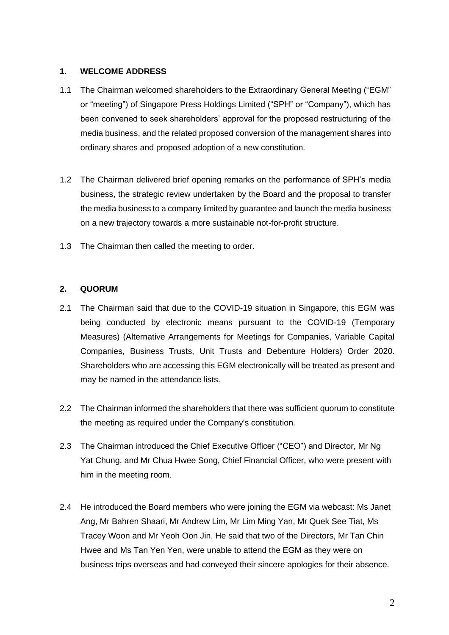## **1. WELCOME ADDRESS**

- 1.1 The Chairman welcomed shareholders to the Extraordinary General Meeting ("EGM" or "meeting") of Singapore Press Holdings Limited ("SPH" or "Company"), which has been convened to seek shareholders' approval for the proposed restructuring of the media business, and the related proposed conversion of the management shares into ordinary shares and proposed adoption of a new constitution.
- 1.2 The Chairman delivered brief opening remarks on the performance of SPH's media business, the strategic review undertaken by the Board and the proposal to transfer the media business to a company limited by guarantee and launch the media business on a new trajectory towards a more sustainable not-for-profit structure.
- 1.3 The Chairman then called the meeting to order.

## **2. QUORUM**

- 2.1 The Chairman said that due to the COVID-19 situation in Singapore, this EGM was being conducted by electronic means pursuant to the COVID-19 (Temporary Measures) (Alternative Arrangements for Meetings for Companies, Variable Capital Companies, Business Trusts, Unit Trusts and Debenture Holders) Order 2020. Shareholders who are accessing this EGM electronically will be treated as present and may be named in the attendance lists.
- 2.2 The Chairman informed the shareholders that there was sufficient quorum to constitute the meeting as required under the Company's constitution.
- 2.3 The Chairman introduced the Chief Executive Officer ("CEO") and Director, Mr Ng Yat Chung, and Mr Chua Hwee Song, Chief Financial Officer, who were present with him in the meeting room.
- 2.4 He introduced the Board members who were joining the EGM via webcast: Ms Janet Ang, Mr Bahren Shaari, Mr Andrew Lim, Mr Lim Ming Yan, Mr Quek See Tiat, Ms Tracey Woon and Mr Yeoh Oon Jin. He said that two of the Directors, Mr Tan Chin Hwee and Ms Tan Yen Yen, were unable to attend the EGM as they were on business trips overseas and had conveyed their sincere apologies for their absence.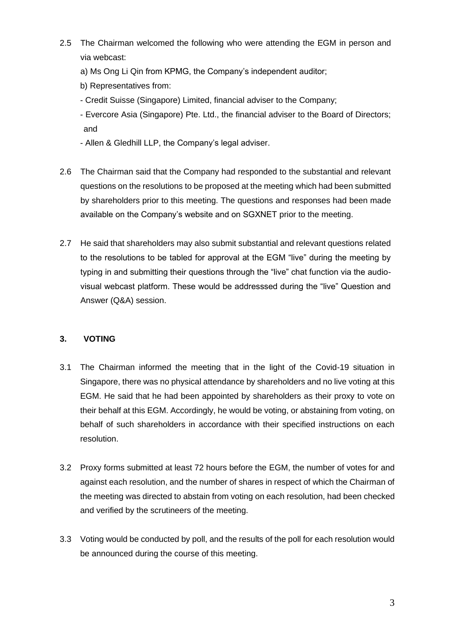- 2.5 The Chairman welcomed the following who were attending the EGM in person and via webcast:
	- a) Ms Ong Li Qin from KPMG, the Company's independent auditor;
	- b) Representatives from:
	- Credit Suisse (Singapore) Limited, financial adviser to the Company;
	- Evercore Asia (Singapore) Pte. Ltd., the financial adviser to the Board of Directors; and
	- Allen & Gledhill LLP, the Company's legal adviser.
- 2.6 The Chairman said that the Company had responded to the substantial and relevant questions on the resolutions to be proposed at the meeting which had been submitted by shareholders prior to this meeting. The questions and responses had been made available on the Company's website and on SGXNET prior to the meeting.
- 2.7 He said that shareholders may also submit substantial and relevant questions related to the resolutions to be tabled for approval at the EGM "live" during the meeting by typing in and submitting their questions through the "live" chat function via the audiovisual webcast platform. These would be addresssed during the "live" Question and Answer (Q&A) session.

#### **3. VOTING**

- 3.1 The Chairman informed the meeting that in the light of the Covid-19 situation in Singapore, there was no physical attendance by shareholders and no live voting at this EGM. He said that he had been appointed by shareholders as their proxy to vote on their behalf at this EGM. Accordingly, he would be voting, or abstaining from voting, on behalf of such shareholders in accordance with their specified instructions on each resolution.
- 3.2 Proxy forms submitted at least 72 hours before the EGM, the number of votes for and against each resolution, and the number of shares in respect of which the Chairman of the meeting was directed to abstain from voting on each resolution, had been checked and verified by the scrutineers of the meeting.
- 3.3 Voting would be conducted by poll, and the results of the poll for each resolution would be announced during the course of this meeting.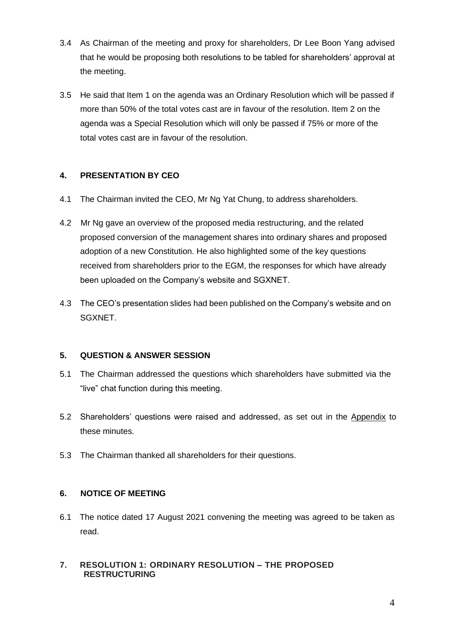- 3.4 As Chairman of the meeting and proxy for shareholders, Dr Lee Boon Yang advised that he would be proposing both resolutions to be tabled for shareholders' approval at the meeting.
- 3.5 He said that Item 1 on the agenda was an Ordinary Resolution which will be passed if more than 50% of the total votes cast are in favour of the resolution. Item 2 on the agenda was a Special Resolution which will only be passed if 75% or more of the total votes cast are in favour of the resolution.

## **4. PRESENTATION BY CEO**

- 4.1 The Chairman invited the CEO, Mr Ng Yat Chung, to address shareholders.
- 4.2 Mr Ng gave an overview of the proposed media restructuring, and the related proposed conversion of the management shares into ordinary shares and proposed adoption of a new Constitution. He also highlighted some of the key questions received from shareholders prior to the EGM, the responses for which have already been uploaded on the Company's website and SGXNET.
- 4.3 The CEO's presentation slides had been published on the Company's website and on SGXNET.

## **5. QUESTION & ANSWER SESSION**

- 5.1 The Chairman addressed the questions which shareholders have submitted via the "live" chat function during this meeting.
- 5.2 Shareholders' questions were raised and addressed, as set out in the Appendix to these minutes.
- 5.3 The Chairman thanked all shareholders for their questions.

## **6. NOTICE OF MEETING**

6.1 The notice dated 17 August 2021 convening the meeting was agreed to be taken as read.

## **7. RESOLUTION 1: ORDINARY RESOLUTION – THE PROPOSED RESTRUCTURING**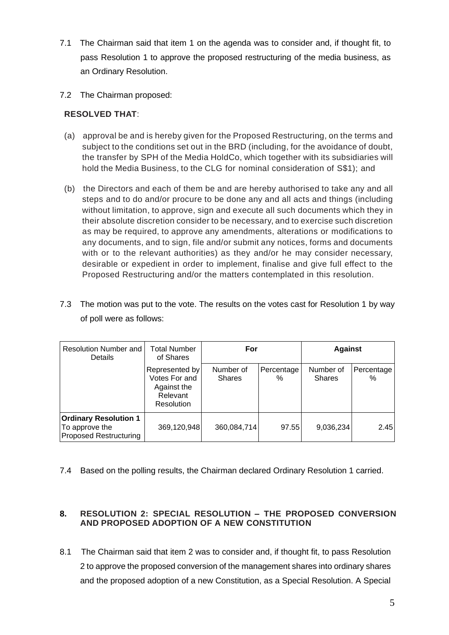- 7.1 The Chairman said that item 1 on the agenda was to consider and, if thought fit, to pass Resolution 1 to approve the proposed restructuring of the media business, as an Ordinary Resolution.
- 7.2 The Chairman proposed:

# **RESOLVED THAT**:

- (a) approval be and is hereby given for the Proposed Restructuring, on the terms and subject to the conditions set out in the BRD (including, for the avoidance of doubt, the transfer by SPH of the Media HoldCo, which together with its subsidiaries will hold the Media Business, to the CLG for nominal consideration of S\$1); and
- (b) the Directors and each of them be and are hereby authorised to take any and all steps and to do and/or procure to be done any and all acts and things (including without limitation, to approve, sign and execute all such documents which they in their absolute discretion consider to be necessary, and to exercise such discretion as may be required, to approve any amendments, alterations or modifications to any documents, and to sign, file and/or submit any notices, forms and documents with or to the relevant authorities) as they and/or he may consider necessary, desirable or expedient in order to implement, finalise and give full effect to the Proposed Restructuring and/or the matters contemplated in this resolution.
- 7.3 The motion was put to the vote. The results on the votes cast for Resolution 1 by way of poll were as follows:

| Resolution Number and<br>Details                                                | Total Number<br>of Shares                                                | For                        |                 | <b>Against</b>             |                 |  |
|---------------------------------------------------------------------------------|--------------------------------------------------------------------------|----------------------------|-----------------|----------------------------|-----------------|--|
|                                                                                 | Represented by<br>Votes For and<br>Against the<br>Relevant<br>Resolution | Number of<br><b>Shares</b> | Percentage<br>% | Number of<br><b>Shares</b> | Percentage<br>% |  |
| <b>Ordinary Resolution 1</b><br>To approve the<br><b>Proposed Restructuring</b> | 369,120,948                                                              | 360,084,714                | 97.55           | 9,036,234                  | 2.45            |  |

7.4 Based on the polling results, the Chairman declared Ordinary Resolution 1 carried.

## **8. RESOLUTION 2: SPECIAL RESOLUTION – THE PROPOSED CONVERSION AND PROPOSED ADOPTION OF A NEW CONSTITUTION**

8.1 The Chairman said that item 2 was to consider and, if thought fit, to pass Resolution 2 to approve the proposed conversion of the management shares into ordinary shares and the proposed adoption of a new Constitution, as a Special Resolution. A Special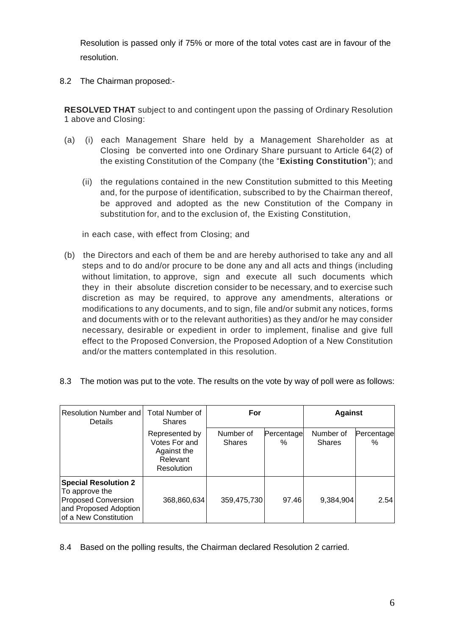Resolution is passed only if 75% or more of the total votes cast are in favour of the resolution.

8.2 The Chairman proposed:-

**RESOLVED THAT** subject to and contingent upon the passing of Ordinary Resolution 1 above and Closing:

- (a) (i) each Management Share held by a Management Shareholder as at Closing be converted into one Ordinary Share pursuant to Article 64(2) of the existing Constitution of the Company (the "**Existing Constitution**"); and
	- (ii) the regulations contained in the new Constitution submitted to this Meeting and, for the purpose of identification, subscribed to by the Chairman thereof, be approved and adopted as the new Constitution of the Company in substitution for, and to the exclusion of, the Existing Constitution,

in each case, with effect from Closing; and

(b) the Directors and each of them be and are hereby authorised to take any and all steps and to do and/or procure to be done any and all acts and things (including without limitation, to approve, sign and execute all such documents which they in their absolute discretion consider to be necessary, and to exercise such discretion as may be required, to approve any amendments, alterations or modifications to any documents, and to sign, file and/or submit any notices, forms and documents with or to the relevant authorities) as they and/or he may consider necessary, desirable or expedient in order to implement, finalise and give full effect to the Proposed Conversion, the Proposed Adoption of a New Constitution and/or the matters contemplated in this resolution.

| Resolution Number and<br><b>Details</b>                                                                                       | <b>Total Number of</b><br><b>Shares</b>                                  | For                        |                 | <b>Against</b>             |                    |
|-------------------------------------------------------------------------------------------------------------------------------|--------------------------------------------------------------------------|----------------------------|-----------------|----------------------------|--------------------|
|                                                                                                                               | Represented by<br>Votes For and<br>Against the<br>Relevant<br>Resolution | Number of<br><b>Shares</b> | Percentage<br>℅ | Number of<br><b>Shares</b> | Percentage<br>$\%$ |
| <b>Special Resolution 2</b><br>To approve the<br><b>Proposed Conversion</b><br>and Proposed Adoption<br>of a New Constitution | 368,860,634                                                              | 359,475,730                | 97.46           | 9,384,904                  | 2.54               |

8.3 The motion was put to the vote. The results on the vote by way of poll were as follows:

8.4 Based on the polling results, the Chairman declared Resolution 2 carried.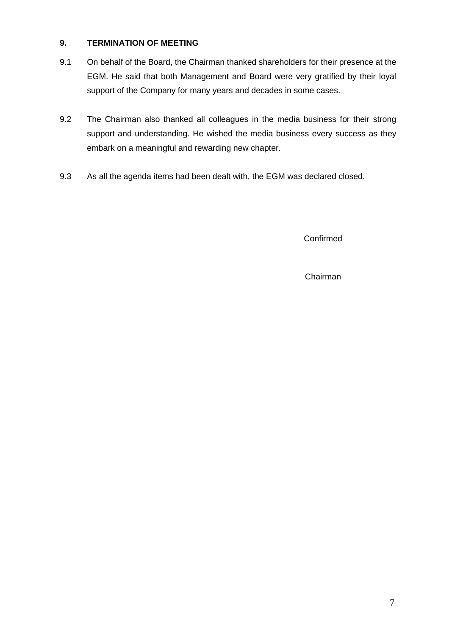## **9. TERMINATION OF MEETING**

- 9.1 On behalf of the Board, the Chairman thanked shareholders for their presence at the EGM. He said that both Management and Board were very gratified by their loyal support of the Company for many years and decades in some cases.
- 9.2 The Chairman also thanked all colleagues in the media business for their strong support and understanding. He wished the media business every success as they embark on a meaningful and rewarding new chapter.
- 9.3 As all the agenda items had been dealt with, the EGM was declared closed.

Confirmed

Chairman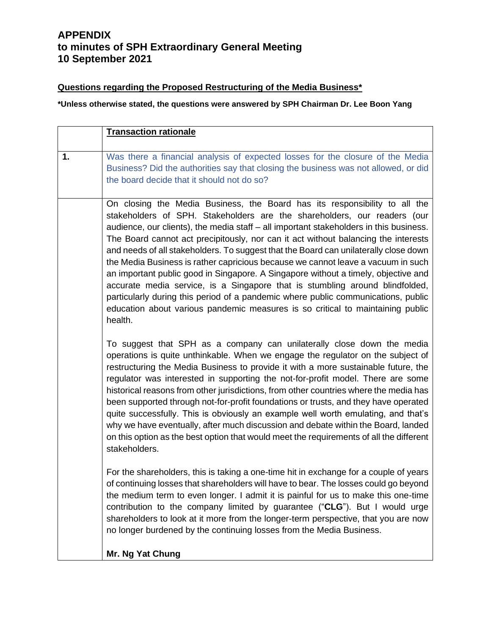## **Questions regarding the Proposed Restructuring of the Media Business\***

**\*Unless otherwise stated, the questions were answered by SPH Chairman Dr. Lee Boon Yang**

|    | <b>Transaction rationale</b>                                                                                                                                                                                                                                                                                                                                                                                                                                                                                                                                                                                                                                                                                                                                                                                                                                               |
|----|----------------------------------------------------------------------------------------------------------------------------------------------------------------------------------------------------------------------------------------------------------------------------------------------------------------------------------------------------------------------------------------------------------------------------------------------------------------------------------------------------------------------------------------------------------------------------------------------------------------------------------------------------------------------------------------------------------------------------------------------------------------------------------------------------------------------------------------------------------------------------|
| 1. | Was there a financial analysis of expected losses for the closure of the Media<br>Business? Did the authorities say that closing the business was not allowed, or did<br>the board decide that it should not do so?                                                                                                                                                                                                                                                                                                                                                                                                                                                                                                                                                                                                                                                        |
|    | On closing the Media Business, the Board has its responsibility to all the<br>stakeholders of SPH. Stakeholders are the shareholders, our readers (our<br>audience, our clients), the media staff - all important stakeholders in this business.<br>The Board cannot act precipitously, nor can it act without balancing the interests<br>and needs of all stakeholders. To suggest that the Board can unilaterally close down<br>the Media Business is rather capricious because we cannot leave a vacuum in such<br>an important public good in Singapore. A Singapore without a timely, objective and<br>accurate media service, is a Singapore that is stumbling around blindfolded,<br>particularly during this period of a pandemic where public communications, public<br>education about various pandemic measures is so critical to maintaining public<br>health. |
|    | To suggest that SPH as a company can unilaterally close down the media<br>operations is quite unthinkable. When we engage the regulator on the subject of<br>restructuring the Media Business to provide it with a more sustainable future, the<br>regulator was interested in supporting the not-for-profit model. There are some<br>historical reasons from other jurisdictions, from other countries where the media has<br>been supported through not-for-profit foundations or trusts, and they have operated<br>quite successfully. This is obviously an example well worth emulating, and that's<br>why we have eventually, after much discussion and debate within the Board, landed<br>on this option as the best option that would meet the requirements of all the different<br>stakeholders.                                                                   |
|    | For the shareholders, this is taking a one-time hit in exchange for a couple of years<br>of continuing losses that shareholders will have to bear. The losses could go beyond<br>the medium term to even longer. I admit it is painful for us to make this one-time<br>contribution to the company limited by guarantee ("CLG"). But I would urge<br>shareholders to look at it more from the longer-term perspective, that you are now<br>no longer burdened by the continuing losses from the Media Business.                                                                                                                                                                                                                                                                                                                                                            |
|    | Mr. Ng Yat Chung                                                                                                                                                                                                                                                                                                                                                                                                                                                                                                                                                                                                                                                                                                                                                                                                                                                           |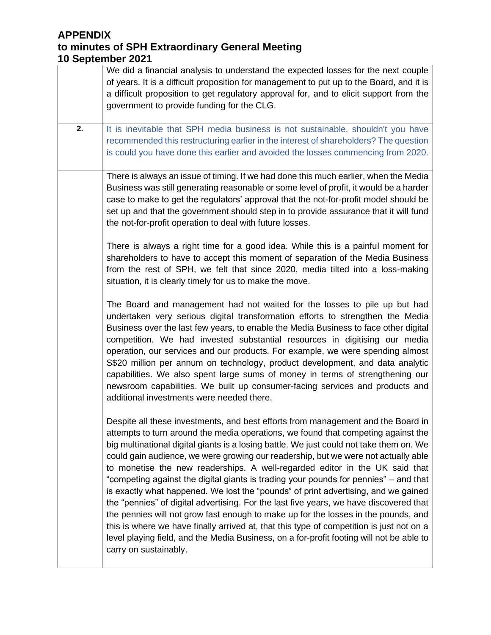| We did a financial analysis to understand the expected losses for the next couple<br>of years. It is a difficult proposition for management to put up to the Board, and it is<br>a difficult proposition to get regulatory approval for, and to elicit support from the<br>government to provide funding for the CLG.                                                                                                                                                                                                                                                                                                                                                                                                                                                                                                                                                                                                                                                                                                |
|----------------------------------------------------------------------------------------------------------------------------------------------------------------------------------------------------------------------------------------------------------------------------------------------------------------------------------------------------------------------------------------------------------------------------------------------------------------------------------------------------------------------------------------------------------------------------------------------------------------------------------------------------------------------------------------------------------------------------------------------------------------------------------------------------------------------------------------------------------------------------------------------------------------------------------------------------------------------------------------------------------------------|
| It is inevitable that SPH media business is not sustainable, shouldn't you have<br>recommended this restructuring earlier in the interest of shareholders? The question<br>is could you have done this earlier and avoided the losses commencing from 2020.                                                                                                                                                                                                                                                                                                                                                                                                                                                                                                                                                                                                                                                                                                                                                          |
| There is always an issue of timing. If we had done this much earlier, when the Media<br>Business was still generating reasonable or some level of profit, it would be a harder<br>case to make to get the regulators' approval that the not-for-profit model should be<br>set up and that the government should step in to provide assurance that it will fund<br>the not-for-profit operation to deal with future losses.                                                                                                                                                                                                                                                                                                                                                                                                                                                                                                                                                                                           |
| There is always a right time for a good idea. While this is a painful moment for<br>shareholders to have to accept this moment of separation of the Media Business<br>from the rest of SPH, we felt that since 2020, media tilted into a loss-making<br>situation, it is clearly timely for us to make the move.                                                                                                                                                                                                                                                                                                                                                                                                                                                                                                                                                                                                                                                                                                     |
| The Board and management had not waited for the losses to pile up but had<br>undertaken very serious digital transformation efforts to strengthen the Media<br>Business over the last few years, to enable the Media Business to face other digital<br>competition. We had invested substantial resources in digitising our media<br>operation, our services and our products. For example, we were spending almost<br>S\$20 million per annum on technology, product development, and data analytic<br>capabilities. We also spent large sums of money in terms of strengthening our<br>newsroom capabilities. We built up consumer-facing services and products and<br>additional investments were needed there.                                                                                                                                                                                                                                                                                                   |
| Despite all these investments, and best efforts from management and the Board in<br>attempts to turn around the media operations, we found that competing against the<br>big multinational digital giants is a losing battle. We just could not take them on. We<br>could gain audience, we were growing our readership, but we were not actually able<br>to monetise the new readerships. A well-regarded editor in the UK said that<br>"competing against the digital giants is trading your pounds for pennies" – and that<br>is exactly what happened. We lost the "pounds" of print advertising, and we gained<br>the "pennies" of digital advertising. For the last five years, we have discovered that<br>the pennies will not grow fast enough to make up for the losses in the pounds, and<br>this is where we have finally arrived at, that this type of competition is just not on a<br>level playing field, and the Media Business, on a for-profit footing will not be able to<br>carry on sustainably. |
|                                                                                                                                                                                                                                                                                                                                                                                                                                                                                                                                                                                                                                                                                                                                                                                                                                                                                                                                                                                                                      |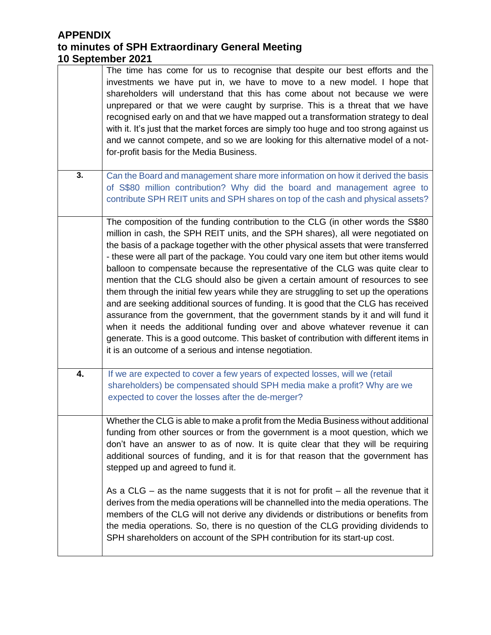|    | The time has come for us to recognise that despite our best efforts and the<br>investments we have put in, we have to move to a new model. I hope that<br>shareholders will understand that this has come about not because we were<br>unprepared or that we were caught by surprise. This is a threat that we have<br>recognised early on and that we have mapped out a transformation strategy to deal<br>with it. It's just that the market forces are simply too huge and too strong against us<br>and we cannot compete, and so we are looking for this alternative model of a not-<br>for-profit basis for the Media Business.                                                                                                                                                                                                                                                                                                                                                                                          |
|----|-------------------------------------------------------------------------------------------------------------------------------------------------------------------------------------------------------------------------------------------------------------------------------------------------------------------------------------------------------------------------------------------------------------------------------------------------------------------------------------------------------------------------------------------------------------------------------------------------------------------------------------------------------------------------------------------------------------------------------------------------------------------------------------------------------------------------------------------------------------------------------------------------------------------------------------------------------------------------------------------------------------------------------|
| 3. | Can the Board and management share more information on how it derived the basis<br>of S\$80 million contribution? Why did the board and management agree to<br>contribute SPH REIT units and SPH shares on top of the cash and physical assets?                                                                                                                                                                                                                                                                                                                                                                                                                                                                                                                                                                                                                                                                                                                                                                               |
|    | The composition of the funding contribution to the CLG (in other words the S\$80<br>million in cash, the SPH REIT units, and the SPH shares), all were negotiated on<br>the basis of a package together with the other physical assets that were transferred<br>- these were all part of the package. You could vary one item but other items would<br>balloon to compensate because the representative of the CLG was quite clear to<br>mention that the CLG should also be given a certain amount of resources to see<br>them through the initial few years while they are struggling to set up the operations<br>and are seeking additional sources of funding. It is good that the CLG has received<br>assurance from the government, that the government stands by it and will fund it<br>when it needs the additional funding over and above whatever revenue it can<br>generate. This is a good outcome. This basket of contribution with different items in<br>it is an outcome of a serious and intense negotiation. |
| 4. | If we are expected to cover a few years of expected losses, will we (retail<br>shareholders) be compensated should SPH media make a profit? Why are we<br>expected to cover the losses after the de-merger?                                                                                                                                                                                                                                                                                                                                                                                                                                                                                                                                                                                                                                                                                                                                                                                                                   |
|    | Whether the CLG is able to make a profit from the Media Business without additional<br>funding from other sources or from the government is a moot question, which we<br>don't have an answer to as of now. It is quite clear that they will be requiring<br>additional sources of funding, and it is for that reason that the government has<br>stepped up and agreed to fund it.                                                                                                                                                                                                                                                                                                                                                                                                                                                                                                                                                                                                                                            |
|    | As a CLG – as the name suggests that it is not for profit – all the revenue that it<br>derives from the media operations will be channelled into the media operations. The<br>members of the CLG will not derive any dividends or distributions or benefits from<br>the media operations. So, there is no question of the CLG providing dividends to<br>SPH shareholders on account of the SPH contribution for its start-up cost.                                                                                                                                                                                                                                                                                                                                                                                                                                                                                                                                                                                            |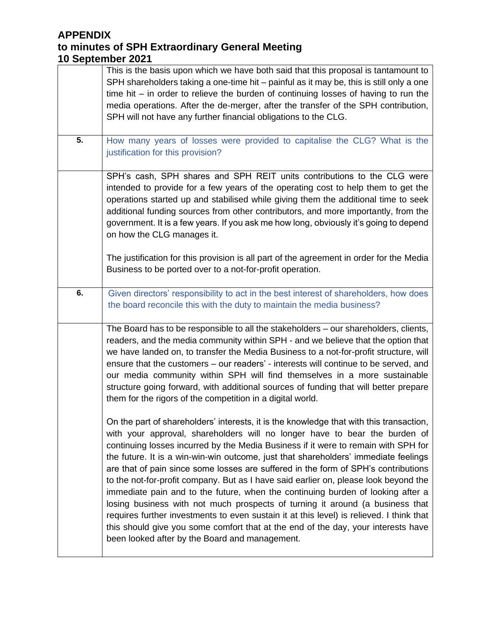|    | This is the basis upon which we have both said that this proposal is tantamount to<br>SPH shareholders taking a one-time hit – painful as it may be, this is still only a one<br>time hit $-$ in order to relieve the burden of continuing losses of having to run the<br>media operations. After the de-merger, after the transfer of the SPH contribution,<br>SPH will not have any further financial obligations to the CLG.                                                                                                                                                                                                                                                                                                                                                                                                                                                                                                         |
|----|-----------------------------------------------------------------------------------------------------------------------------------------------------------------------------------------------------------------------------------------------------------------------------------------------------------------------------------------------------------------------------------------------------------------------------------------------------------------------------------------------------------------------------------------------------------------------------------------------------------------------------------------------------------------------------------------------------------------------------------------------------------------------------------------------------------------------------------------------------------------------------------------------------------------------------------------|
| 5. | How many years of losses were provided to capitalise the CLG? What is the<br>justification for this provision?                                                                                                                                                                                                                                                                                                                                                                                                                                                                                                                                                                                                                                                                                                                                                                                                                          |
|    | SPH's cash, SPH shares and SPH REIT units contributions to the CLG were<br>intended to provide for a few years of the operating cost to help them to get the<br>operations started up and stabilised while giving them the additional time to seek<br>additional funding sources from other contributors, and more importantly, from the<br>government. It is a few years. If you ask me how long, obviously it's going to depend<br>on how the CLG manages it.                                                                                                                                                                                                                                                                                                                                                                                                                                                                         |
|    | The justification for this provision is all part of the agreement in order for the Media<br>Business to be ported over to a not-for-profit operation.                                                                                                                                                                                                                                                                                                                                                                                                                                                                                                                                                                                                                                                                                                                                                                                   |
| 6. | Given directors' responsibility to act in the best interest of shareholders, how does<br>the board reconcile this with the duty to maintain the media business?                                                                                                                                                                                                                                                                                                                                                                                                                                                                                                                                                                                                                                                                                                                                                                         |
|    | The Board has to be responsible to all the stakeholders - our shareholders, clients,<br>readers, and the media community within SPH - and we believe that the option that<br>we have landed on, to transfer the Media Business to a not-for-profit structure, will<br>ensure that the customers - our readers' - interests will continue to be served, and<br>our media community within SPH will find themselves in a more sustainable<br>structure going forward, with additional sources of funding that will better prepare<br>them for the rigors of the competition in a digital world.                                                                                                                                                                                                                                                                                                                                           |
|    | On the part of shareholders' interests, it is the knowledge that with this transaction,<br>with your approval, shareholders will no longer have to bear the burden of<br>continuing losses incurred by the Media Business if it were to remain with SPH for<br>the future. It is a win-win-win outcome, just that shareholders' immediate feelings<br>are that of pain since some losses are suffered in the form of SPH's contributions<br>to the not-for-profit company. But as I have said earlier on, please look beyond the<br>immediate pain and to the future, when the continuing burden of looking after a<br>losing business with not much prospects of turning it around (a business that<br>requires further investments to even sustain it at this level) is relieved. I think that<br>this should give you some comfort that at the end of the day, your interests have<br>been looked after by the Board and management. |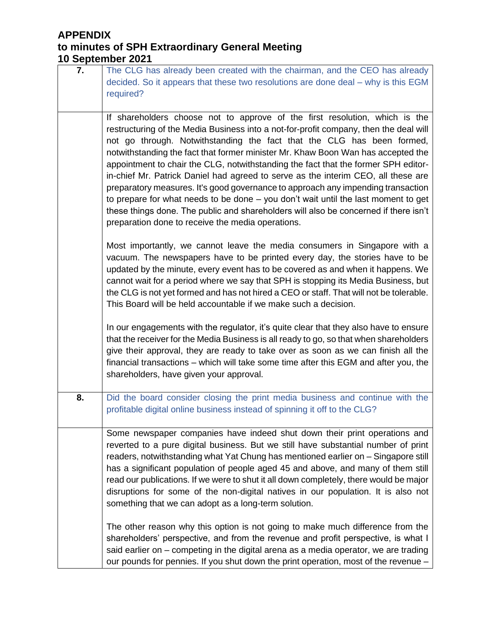# **APPENDIX**

| 7. | The CLG has already been created with the chairman, and the CEO has already<br>decided. So it appears that these two resolutions are done deal - why is this EGM<br>required?                                                                                                                                                                                                                                                                                                                                                                                                                                                                                                                                                                                                                                                        |
|----|--------------------------------------------------------------------------------------------------------------------------------------------------------------------------------------------------------------------------------------------------------------------------------------------------------------------------------------------------------------------------------------------------------------------------------------------------------------------------------------------------------------------------------------------------------------------------------------------------------------------------------------------------------------------------------------------------------------------------------------------------------------------------------------------------------------------------------------|
|    |                                                                                                                                                                                                                                                                                                                                                                                                                                                                                                                                                                                                                                                                                                                                                                                                                                      |
|    | If shareholders choose not to approve of the first resolution, which is the<br>restructuring of the Media Business into a not-for-profit company, then the deal will<br>not go through. Notwithstanding the fact that the CLG has been formed,<br>notwithstanding the fact that former minister Mr. Khaw Boon Wan has accepted the<br>appointment to chair the CLG, notwithstanding the fact that the former SPH editor-<br>in-chief Mr. Patrick Daniel had agreed to serve as the interim CEO, all these are<br>preparatory measures. It's good governance to approach any impending transaction<br>to prepare for what needs to be done - you don't wait until the last moment to get<br>these things done. The public and shareholders will also be concerned if there isn't<br>preparation done to receive the media operations. |
|    | Most importantly, we cannot leave the media consumers in Singapore with a<br>vacuum. The newspapers have to be printed every day, the stories have to be<br>updated by the minute, every event has to be covered as and when it happens. We<br>cannot wait for a period where we say that SPH is stopping its Media Business, but<br>the CLG is not yet formed and has not hired a CEO or staff. That will not be tolerable.<br>This Board will be held accountable if we make such a decision.                                                                                                                                                                                                                                                                                                                                      |
|    | In our engagements with the regulator, it's quite clear that they also have to ensure<br>that the receiver for the Media Business is all ready to go, so that when shareholders<br>give their approval, they are ready to take over as soon as we can finish all the<br>financial transactions – which will take some time after this EGM and after you, the<br>shareholders, have given your approval.                                                                                                                                                                                                                                                                                                                                                                                                                              |
| 8. | Did the board consider closing the print media business and continue with the<br>profitable digital online business instead of spinning it off to the CLG?                                                                                                                                                                                                                                                                                                                                                                                                                                                                                                                                                                                                                                                                           |
|    | Some newspaper companies have indeed shut down their print operations and<br>reverted to a pure digital business. But we still have substantial number of print<br>readers, notwithstanding what Yat Chung has mentioned earlier on - Singapore still<br>has a significant population of people aged 45 and above, and many of them still<br>read our publications. If we were to shut it all down completely, there would be major<br>disruptions for some of the non-digital natives in our population. It is also not<br>something that we can adopt as a long-term solution.                                                                                                                                                                                                                                                     |
|    | The other reason why this option is not going to make much difference from the<br>shareholders' perspective, and from the revenue and profit perspective, is what I<br>said earlier on - competing in the digital arena as a media operator, we are trading<br>our pounds for pennies. If you shut down the print operation, most of the revenue -                                                                                                                                                                                                                                                                                                                                                                                                                                                                                   |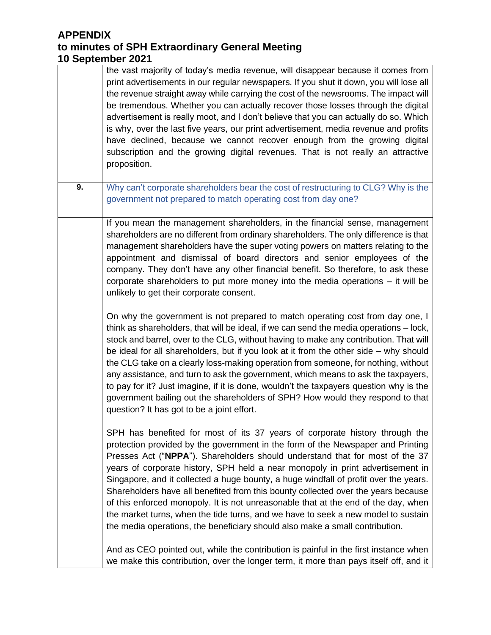|    | the vast majority of today's media revenue, will disappear because it comes from<br>print advertisements in our regular newspapers. If you shut it down, you will lose all<br>the revenue straight away while carrying the cost of the newsrooms. The impact will<br>be tremendous. Whether you can actually recover those losses through the digital<br>advertisement is really moot, and I don't believe that you can actually do so. Which<br>is why, over the last five years, our print advertisement, media revenue and profits<br>have declined, because we cannot recover enough from the growing digital<br>subscription and the growing digital revenues. That is not really an attractive<br>proposition.                                                     |
|----|--------------------------------------------------------------------------------------------------------------------------------------------------------------------------------------------------------------------------------------------------------------------------------------------------------------------------------------------------------------------------------------------------------------------------------------------------------------------------------------------------------------------------------------------------------------------------------------------------------------------------------------------------------------------------------------------------------------------------------------------------------------------------|
| 9. | Why can't corporate shareholders bear the cost of restructuring to CLG? Why is the<br>government not prepared to match operating cost from day one?                                                                                                                                                                                                                                                                                                                                                                                                                                                                                                                                                                                                                      |
|    | If you mean the management shareholders, in the financial sense, management<br>shareholders are no different from ordinary shareholders. The only difference is that<br>management shareholders have the super voting powers on matters relating to the<br>appointment and dismissal of board directors and senior employees of the<br>company. They don't have any other financial benefit. So therefore, to ask these<br>corporate shareholders to put more money into the media operations $-$ it will be<br>unlikely to get their corporate consent.                                                                                                                                                                                                                 |
|    | On why the government is not prepared to match operating cost from day one, I<br>think as shareholders, that will be ideal, if we can send the media operations - lock,<br>stock and barrel, over to the CLG, without having to make any contribution. That will<br>be ideal for all shareholders, but if you look at it from the other side $-$ why should<br>the CLG take on a clearly loss-making operation from someone, for nothing, without<br>any assistance, and turn to ask the government, which means to ask the taxpayers,<br>to pay for it? Just imagine, if it is done, wouldn't the taxpayers question why is the<br>government bailing out the shareholders of SPH? How would they respond to that<br>question? It has got to be a joint effort.         |
|    | SPH has benefited for most of its 37 years of corporate history through the<br>protection provided by the government in the form of the Newspaper and Printing<br>Presses Act ("NPPA"). Shareholders should understand that for most of the 37<br>years of corporate history, SPH held a near monopoly in print advertisement in<br>Singapore, and it collected a huge bounty, a huge windfall of profit over the years.<br>Shareholders have all benefited from this bounty collected over the years because<br>of this enforced monopoly. It is not unreasonable that at the end of the day, when<br>the market turns, when the tide turns, and we have to seek a new model to sustain<br>the media operations, the beneficiary should also make a small contribution. |
|    | And as CEO pointed out, while the contribution is painful in the first instance when<br>we make this contribution, over the longer term, it more than pays itself off, and it                                                                                                                                                                                                                                                                                                                                                                                                                                                                                                                                                                                            |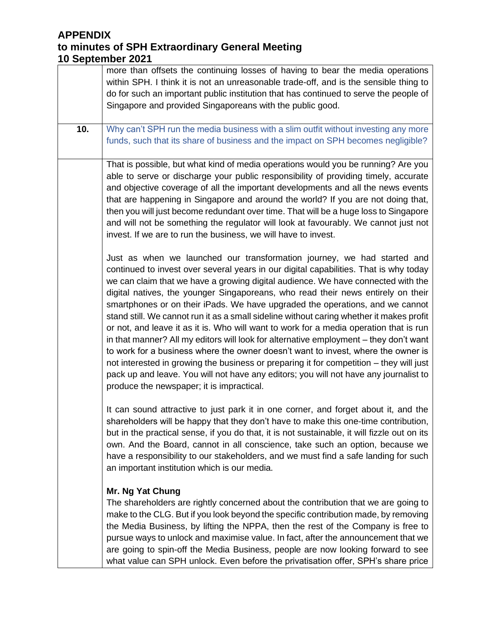|     | more than offsets the continuing losses of having to bear the media operations<br>within SPH. I think it is not an unreasonable trade-off, and is the sensible thing to<br>do for such an important public institution that has continued to serve the people of<br>Singapore and provided Singaporeans with the public good.                                                                                                                                                                                                                                                                                                                                                                                                                                                                                                                                                                                                                                                                                                  |
|-----|--------------------------------------------------------------------------------------------------------------------------------------------------------------------------------------------------------------------------------------------------------------------------------------------------------------------------------------------------------------------------------------------------------------------------------------------------------------------------------------------------------------------------------------------------------------------------------------------------------------------------------------------------------------------------------------------------------------------------------------------------------------------------------------------------------------------------------------------------------------------------------------------------------------------------------------------------------------------------------------------------------------------------------|
| 10. | Why can't SPH run the media business with a slim outfit without investing any more<br>funds, such that its share of business and the impact on SPH becomes negligible?                                                                                                                                                                                                                                                                                                                                                                                                                                                                                                                                                                                                                                                                                                                                                                                                                                                         |
|     | That is possible, but what kind of media operations would you be running? Are you<br>able to serve or discharge your public responsibility of providing timely, accurate<br>and objective coverage of all the important developments and all the news events<br>that are happening in Singapore and around the world? If you are not doing that,<br>then you will just become redundant over time. That will be a huge loss to Singapore<br>and will not be something the regulator will look at favourably. We cannot just not<br>invest. If we are to run the business, we will have to invest.                                                                                                                                                                                                                                                                                                                                                                                                                              |
|     | Just as when we launched our transformation journey, we had started and<br>continued to invest over several years in our digital capabilities. That is why today<br>we can claim that we have a growing digital audience. We have connected with the<br>digital natives, the younger Singaporeans, who read their news entirely on their<br>smartphones or on their iPads. We have upgraded the operations, and we cannot<br>stand still. We cannot run it as a small sideline without caring whether it makes profit<br>or not, and leave it as it is. Who will want to work for a media operation that is run<br>in that manner? All my editors will look for alternative employment - they don't want<br>to work for a business where the owner doesn't want to invest, where the owner is<br>not interested in growing the business or preparing it for competition - they will just<br>pack up and leave. You will not have any editors; you will not have any journalist to<br>produce the newspaper; it is impractical. |
|     | It can sound attractive to just park it in one corner, and forget about it, and the<br>shareholders will be happy that they don't have to make this one-time contribution,<br>but in the practical sense, if you do that, it is not sustainable, it will fizzle out on its<br>own. And the Board, cannot in all conscience, take such an option, because we<br>have a responsibility to our stakeholders, and we must find a safe landing for such<br>an important institution which is our media.                                                                                                                                                                                                                                                                                                                                                                                                                                                                                                                             |
|     | Mr. Ng Yat Chung<br>The shareholders are rightly concerned about the contribution that we are going to<br>make to the CLG. But if you look beyond the specific contribution made, by removing<br>the Media Business, by lifting the NPPA, then the rest of the Company is free to<br>pursue ways to unlock and maximise value. In fact, after the announcement that we<br>are going to spin-off the Media Business, people are now looking forward to see<br>what value can SPH unlock. Even before the privatisation offer, SPH's share price                                                                                                                                                                                                                                                                                                                                                                                                                                                                                 |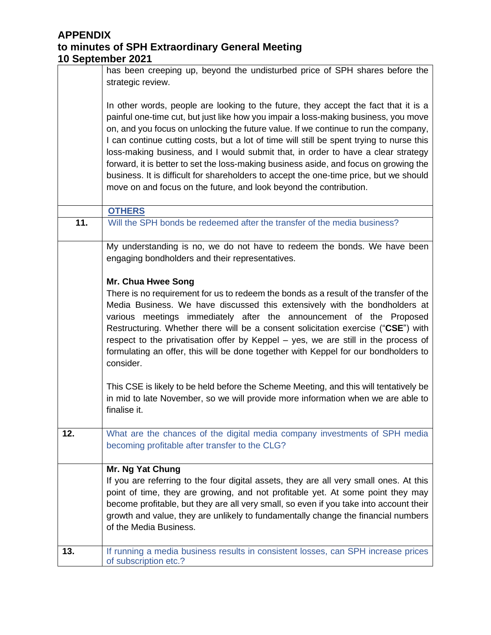|     | has been creeping up, beyond the undisturbed price of SPH shares before the<br>strategic review.                                                                                                                                                                                                                                                                                                                                                                                                                                                                                                                                                                                                           |
|-----|------------------------------------------------------------------------------------------------------------------------------------------------------------------------------------------------------------------------------------------------------------------------------------------------------------------------------------------------------------------------------------------------------------------------------------------------------------------------------------------------------------------------------------------------------------------------------------------------------------------------------------------------------------------------------------------------------------|
|     | In other words, people are looking to the future, they accept the fact that it is a<br>painful one-time cut, but just like how you impair a loss-making business, you move<br>on, and you focus on unlocking the future value. If we continue to run the company,<br>I can continue cutting costs, but a lot of time will still be spent trying to nurse this<br>loss-making business, and I would submit that, in order to have a clear strategy<br>forward, it is better to set the loss-making business aside, and focus on growing the<br>business. It is difficult for shareholders to accept the one-time price, but we should<br>move on and focus on the future, and look beyond the contribution. |
|     | <b>OTHERS</b>                                                                                                                                                                                                                                                                                                                                                                                                                                                                                                                                                                                                                                                                                              |
| 11. | Will the SPH bonds be redeemed after the transfer of the media business?                                                                                                                                                                                                                                                                                                                                                                                                                                                                                                                                                                                                                                   |
|     | My understanding is no, we do not have to redeem the bonds. We have been<br>engaging bondholders and their representatives.                                                                                                                                                                                                                                                                                                                                                                                                                                                                                                                                                                                |
|     |                                                                                                                                                                                                                                                                                                                                                                                                                                                                                                                                                                                                                                                                                                            |
|     | Mr. Chua Hwee Song                                                                                                                                                                                                                                                                                                                                                                                                                                                                                                                                                                                                                                                                                         |
|     | There is no requirement for us to redeem the bonds as a result of the transfer of the<br>Media Business. We have discussed this extensively with the bondholders at<br>various meetings immediately after the announcement of the Proposed<br>Restructuring. Whether there will be a consent solicitation exercise ("CSE") with<br>respect to the privatisation offer by Keppel – yes, we are still in the process of<br>formulating an offer, this will be done together with Keppel for our bondholders to<br>consider.                                                                                                                                                                                  |
|     | This CSE is likely to be held before the Scheme Meeting, and this will tentatively be<br>in mid to late November, so we will provide more information when we are able to<br>finalise it.                                                                                                                                                                                                                                                                                                                                                                                                                                                                                                                  |
| 12. | What are the chances of the digital media company investments of SPH media<br>becoming profitable after transfer to the CLG?                                                                                                                                                                                                                                                                                                                                                                                                                                                                                                                                                                               |
|     | Mr. Ng Yat Chung                                                                                                                                                                                                                                                                                                                                                                                                                                                                                                                                                                                                                                                                                           |
|     | If you are referring to the four digital assets, they are all very small ones. At this                                                                                                                                                                                                                                                                                                                                                                                                                                                                                                                                                                                                                     |
|     | point of time, they are growing, and not profitable yet. At some point they may                                                                                                                                                                                                                                                                                                                                                                                                                                                                                                                                                                                                                            |
|     | become profitable, but they are all very small, so even if you take into account their                                                                                                                                                                                                                                                                                                                                                                                                                                                                                                                                                                                                                     |
|     | growth and value, they are unlikely to fundamentally change the financial numbers<br>of the Media Business.                                                                                                                                                                                                                                                                                                                                                                                                                                                                                                                                                                                                |
| 13. | If running a media business results in consistent losses, can SPH increase prices                                                                                                                                                                                                                                                                                                                                                                                                                                                                                                                                                                                                                          |
|     | of subscription etc.?                                                                                                                                                                                                                                                                                                                                                                                                                                                                                                                                                                                                                                                                                      |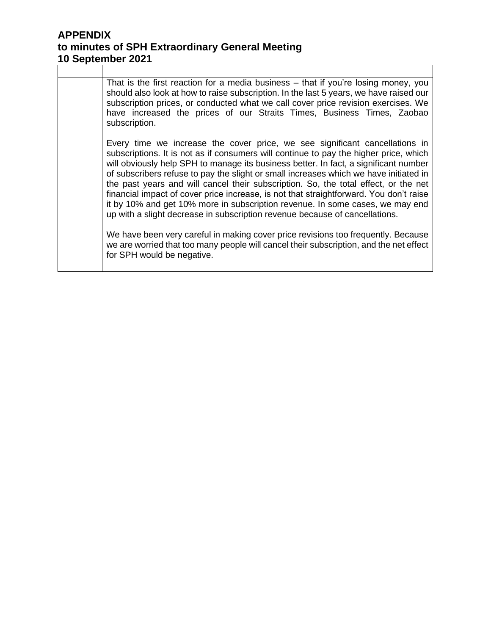That is the first reaction for a media business – that if you're losing money, you should also look at how to raise subscription. In the last 5 years, we have raised our subscription prices, or conducted what we call cover price revision exercises. We have increased the prices of our Straits Times, Business Times, Zaobao subscription.

Every time we increase the cover price, we see significant cancellations in subscriptions. It is not as if consumers will continue to pay the higher price, which will obviously help SPH to manage its business better. In fact, a significant number of subscribers refuse to pay the slight or small increases which we have initiated in the past years and will cancel their subscription. So, the total effect, or the net financial impact of cover price increase, is not that straightforward. You don't raise it by 10% and get 10% more in subscription revenue. In some cases, we may end up with a slight decrease in subscription revenue because of cancellations.

We have been very careful in making cover price revisions too frequently. Because we are worried that too many people will cancel their subscription, and the net effect for SPH would be negative.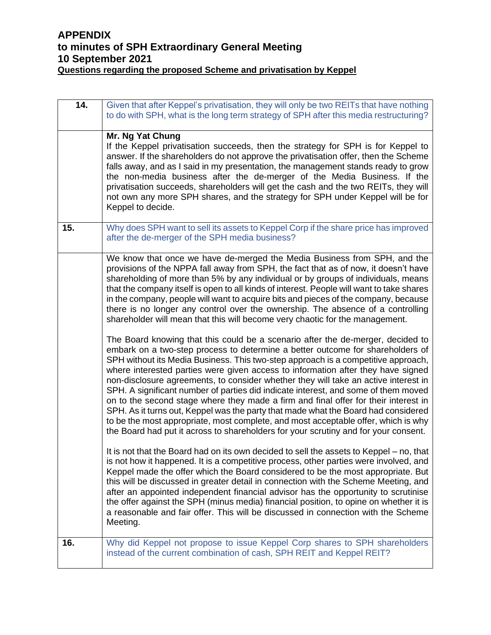## **APPENDIX to minutes of SPH Extraordinary General Meeting 10 September 2021 Questions regarding the proposed Scheme and privatisation by Keppel**

| 14. | Given that after Keppel's privatisation, they will only be two REITs that have nothing<br>to do with SPH, what is the long term strategy of SPH after this media restructuring?                                                                                                                                                                                                                                                                                                                                                                                                                                                                                                                                                                                                                                                                                                   |
|-----|-----------------------------------------------------------------------------------------------------------------------------------------------------------------------------------------------------------------------------------------------------------------------------------------------------------------------------------------------------------------------------------------------------------------------------------------------------------------------------------------------------------------------------------------------------------------------------------------------------------------------------------------------------------------------------------------------------------------------------------------------------------------------------------------------------------------------------------------------------------------------------------|
|     | Mr. Ng Yat Chung<br>If the Keppel privatisation succeeds, then the strategy for SPH is for Keppel to<br>answer. If the shareholders do not approve the privatisation offer, then the Scheme<br>falls away, and as I said in my presentation, the management stands ready to grow<br>the non-media business after the de-merger of the Media Business. If the<br>privatisation succeeds, shareholders will get the cash and the two REITs, they will<br>not own any more SPH shares, and the strategy for SPH under Keppel will be for<br>Keppel to decide.                                                                                                                                                                                                                                                                                                                        |
| 15. | Why does SPH want to sell its assets to Keppel Corp if the share price has improved<br>after the de-merger of the SPH media business?                                                                                                                                                                                                                                                                                                                                                                                                                                                                                                                                                                                                                                                                                                                                             |
|     | We know that once we have de-merged the Media Business from SPH, and the<br>provisions of the NPPA fall away from SPH, the fact that as of now, it doesn't have<br>shareholding of more than 5% by any individual or by groups of individuals, means<br>that the company itself is open to all kinds of interest. People will want to take shares<br>in the company, people will want to acquire bits and pieces of the company, because<br>there is no longer any control over the ownership. The absence of a controlling<br>shareholder will mean that this will become very chaotic for the management.                                                                                                                                                                                                                                                                       |
|     | The Board knowing that this could be a scenario after the de-merger, decided to<br>embark on a two-step process to determine a better outcome for shareholders of<br>SPH without its Media Business. This two-step approach is a competitive approach,<br>where interested parties were given access to information after they have signed<br>non-disclosure agreements, to consider whether they will take an active interest in<br>SPH. A significant number of parties did indicate interest, and some of them moved<br>on to the second stage where they made a firm and final offer for their interest in<br>SPH. As it turns out, Keppel was the party that made what the Board had considered<br>to be the most appropriate, most complete, and most acceptable offer, which is why<br>the Board had put it across to shareholders for your scrutiny and for your consent. |
|     | It is not that the Board had on its own decided to sell the assets to Keppel – no, that<br>is not how it happened. It is a competitive process, other parties were involved, and<br>Keppel made the offer which the Board considered to be the most appropriate. But<br>this will be discussed in greater detail in connection with the Scheme Meeting, and<br>after an appointed independent financial advisor has the opportunity to scrutinise<br>the offer against the SPH (minus media) financial position, to opine on whether it is<br>a reasonable and fair offer. This will be discussed in connection with the Scheme<br>Meeting.                                                                                                                                                                                                                                       |
| 16. | Why did Keppel not propose to issue Keppel Corp shares to SPH shareholders<br>instead of the current combination of cash, SPH REIT and Keppel REIT?                                                                                                                                                                                                                                                                                                                                                                                                                                                                                                                                                                                                                                                                                                                               |